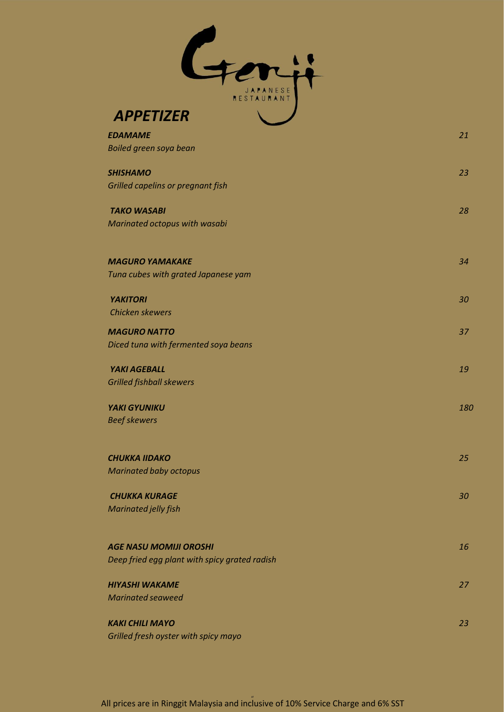

# *APPETIZER*

| <b>EDAMAME</b>                                | 21  |
|-----------------------------------------------|-----|
| Boiled green soya bean                        |     |
| <b>SHISHAMO</b>                               | 23  |
| Grilled capelins or pregnant fish             |     |
| <b>TAKO WASABI</b>                            | 28  |
| Marinated octopus with wasabi                 |     |
| <b>MAGURO YAMAKAKE</b>                        | 34  |
| Tuna cubes with grated Japanese yam           |     |
| <b>YAKITORI</b>                               | 30  |
| <b>Chicken skewers</b>                        |     |
| <b>MAGURO NATTO</b>                           | 37  |
| Diced tuna with fermented soya beans          |     |
| <b>YAKI AGEBALL</b>                           | 19  |
| <b>Grilled fishball skewers</b>               |     |
| <b>YAKI GYUNIKU</b>                           | 180 |
| <b>Beef skewers</b>                           |     |
| СНИККА ІІDАКО                                 | 25  |
| <b>Marinated baby octopus</b>                 |     |
| <b>CHUKKA KURAGE</b>                          | 30  |
| <b>Marinated jelly fish</b>                   |     |
| <b>AGE NASU MOMIJI OROSHI</b>                 | 16  |
| Deep fried egg plant with spicy grated radish |     |
| <b>HIYASHI WAKAME</b>                         | 27  |
| <b>Marinated seaweed</b>                      |     |
| <b>KAKI CHILI MAYO</b>                        | 23  |
| Grilled fresh oyster with spicy mayo          |     |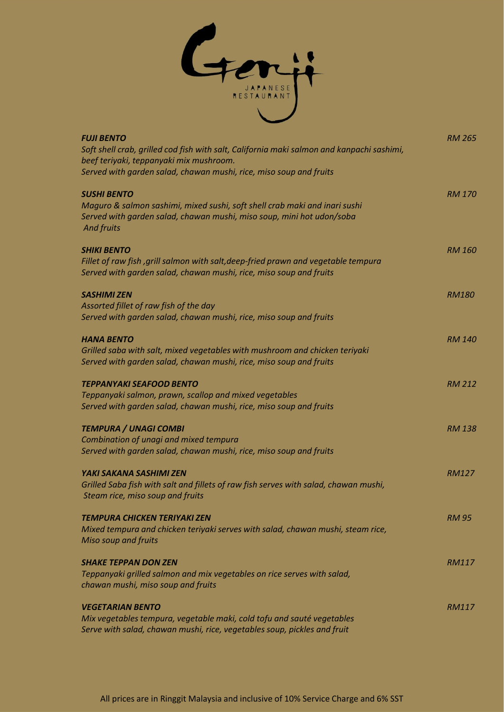

| <b>FUJI BENTO</b><br>Soft shell crab, grilled cod fish with salt, California maki salmon and kanpachi sashimi,<br>beef teriyaki, teppanyaki mix mushroom.<br>Served with garden salad, chawan mushi, rice, miso soup and fruits | <b>RM 265</b> |
|---------------------------------------------------------------------------------------------------------------------------------------------------------------------------------------------------------------------------------|---------------|
| <b>SUSHI BENTO</b><br>Maguro & salmon sashimi, mixed sushi, soft shell crab maki and inari sushi<br>Served with garden salad, chawan mushi, miso soup, mini hot udon/soba<br><b>And fruits</b>                                  | <b>RM 170</b> |
| <b>SHIKI BENTO</b><br>Fillet of raw fish , grill salmon with salt, deep-fried prawn and vegetable tempura<br>Served with garden salad, chawan mushi, rice, miso soup and fruits                                                 | <b>RM 160</b> |
| <b>SASHIMI ZEN</b><br>Assorted fillet of raw fish of the day<br>Served with garden salad, chawan mushi, rice, miso soup and fruits                                                                                              | <b>RM180</b>  |
| <b>HANA BENTO</b><br>Grilled saba with salt, mixed vegetables with mushroom and chicken teriyaki<br>Served with garden salad, chawan mushi, rice, miso soup and fruits                                                          | <b>RM 140</b> |
| <b>TEPPANYAKI SEAFOOD BENTO</b><br>Teppanyaki salmon, prawn, scallop and mixed vegetables<br>Served with garden salad, chawan mushi, rice, miso soup and fruits                                                                 | <b>RM 212</b> |
| <b>TEMPURA / UNAGI COMBI</b><br>Combination of unagi and mixed tempura<br>Served with garden salad, chawan mushi, rice, miso soup and fruits                                                                                    | <b>RM 138</b> |
| YAKI SAKANA SASHIMI ZEN<br>Grilled Saba fish with salt and fillets of raw fish serves with salad, chawan mushi,<br>Steam rice, miso soup and fruits                                                                             | <b>RM127</b>  |
| <b>TEMPURA CHICKEN TERIYAKI ZEN</b><br>Mixed tempura and chicken teriyaki serves with salad, chawan mushi, steam rice,<br>Miso soup and fruits                                                                                  | <b>RM 95</b>  |
| <b>SHAKE TEPPAN DON ZEN</b><br>Teppanyaki grilled salmon and mix vegetables on rice serves with salad,<br>chawan mushi, miso soup and fruits                                                                                    | <b>RM117</b>  |
| <b>VEGETARIAN BENTO</b><br>Mix vegetables tempura, vegetable maki, cold tofu and sauté vegetables<br>Serve with salad, chawan mushi, rice, vegetables soup, pickles and fruit                                                   | <i>RM117</i>  |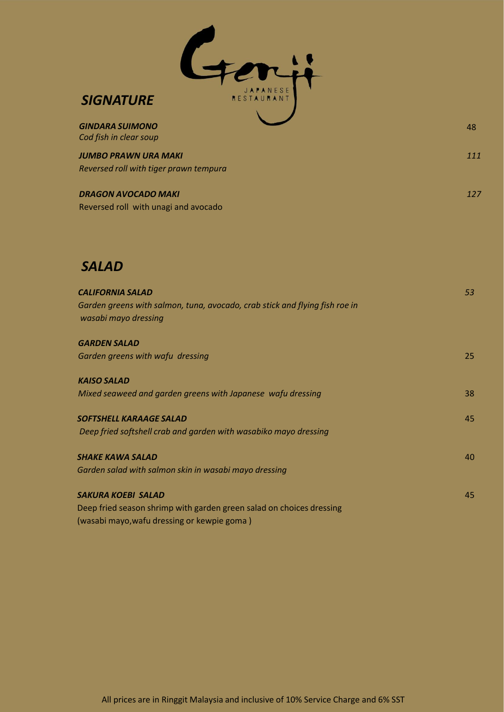



| <b>GINDARA SUIMONO</b><br>Cod fish in clear soup                                                                                              | 48  |
|-----------------------------------------------------------------------------------------------------------------------------------------------|-----|
| <b>JUMBO PRAWN URA MAKI</b><br>Reversed roll with tiger prawn tempura                                                                         | 111 |
| <b>DRAGON AVOCADO MAKI</b><br>the contract of the contract of the contract of the contract of the contract of the contract of the contract of | 127 |

Reversed roll with unagi and avocado

## *SALAD*

| <b>CALIFORNIA SALAD</b>                                                     | 53 |
|-----------------------------------------------------------------------------|----|
| Garden greens with salmon, tuna, avocado, crab stick and flying fish roe in |    |
| wasabi mayo dressing                                                        |    |
| <b>GARDEN SALAD</b>                                                         |    |
| Garden greens with wafu dressing                                            | 25 |
| <b>KAISO SALAD</b>                                                          |    |
| Mixed seaweed and garden greens with Japanese wafu dressing                 | 38 |
| SOFTSHELL KARAAGE SALAD                                                     | 45 |
| Deep fried softshell crab and garden with wasabiko mayo dressing            |    |
| SHAKE KAWA SALAD                                                            | 40 |
| Garden salad with salmon skin in wasabi mayo dressing                       |    |
| SAKURA KOEBI  SALAD                                                         | 45 |
| Deep fried season shrimp with garden green salad on choices dressing        |    |

(wasabi mayo,wafu dressing or kewpie goma )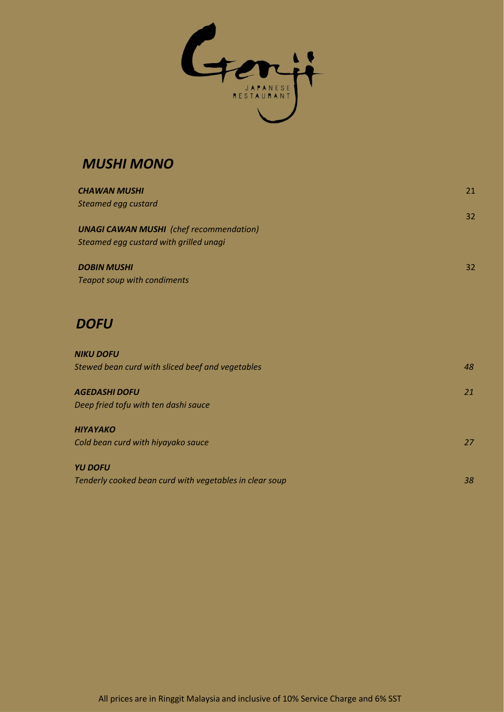

### *MUSHI MONO*

| <b>CHAWAN MUSHI</b>                            | 21 |
|------------------------------------------------|----|
| Steamed egg custard                            |    |
|                                                | 32 |
| <b>UNAGI CAWAN MUSHI</b> (chef recommendation) |    |
| Steamed egg custard with grilled unagi         |    |
| <b>DOBIN MUSHI</b>                             | 32 |
| <b>Teapot soup with condiments</b>             |    |
|                                                |    |
| DOFU                                           |    |

| <b>NIKU DOFU</b>                                        |    |
|---------------------------------------------------------|----|
| Stewed bean curd with sliced beef and vegetables        | 48 |
| <b>AGEDASHI DOFU</b>                                    | 21 |
| Deep fried tofu with ten dashi sauce                    |    |
| <b>HIYAYAKO</b>                                         |    |
| Cold bean curd with hiyayako sauce                      | 27 |
| <b>YU DOFU</b>                                          |    |
| Tenderly cooked bean curd with vegetables in clear soup | 38 |

All prices are in Ringgit Malaysia and inclusive of 10% Service Charge and 6% SST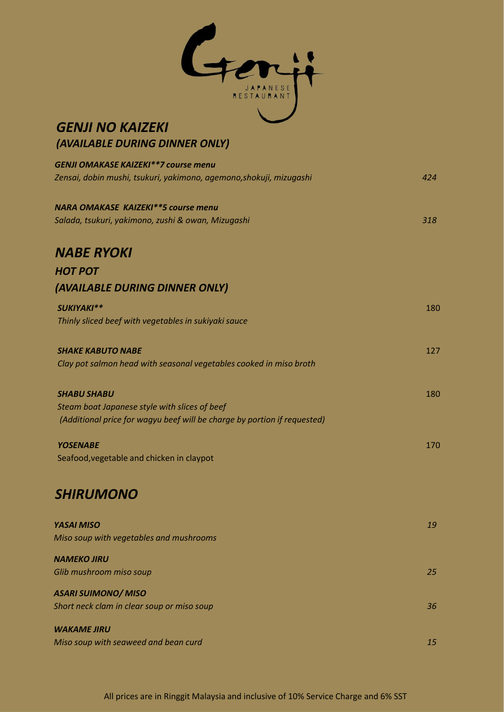

### *GENJI NO KAIZEKI (AVAILABLE DURING DINNER ONLY)*

| <b>GENJI OMAKASE KAIZEKI**7 course menu</b>                              |     |
|--------------------------------------------------------------------------|-----|
| Zensai, dobin mushi, tsukuri, yakimono, agemono, shokuji, mizugashi      | 424 |
| <b>NARA OMAKASE KAIZEKI**5 course menu</b>                               |     |
| Salada, tsukuri, yakimono, zushi & owan, Mizugashi                       | 318 |
| <b>NABE RYOKI</b>                                                        |     |
| <b>HOT POT</b>                                                           |     |
| (AVAILABLE DURING DINNER ONLY)                                           |     |
| SUKIYAKI**                                                               | 180 |
| Thinly sliced beef with vegetables in sukiyaki sauce                     |     |
| <b>SHAKE KABUTO NABE</b>                                                 | 127 |
| Clay pot salmon head with seasonal vegetables cooked in miso broth       |     |
| <b>SHABU SHABU</b>                                                       | 180 |
| Steam boat Japanese style with slices of beef                            |     |
| (Additional price for wagyu beef will be charge by portion if requested) |     |
| <b>YOSENABE</b>                                                          | 170 |
| Seafood, vegetable and chicken in claypot                                |     |
| <b>SHIRUMONO</b>                                                         |     |
| <b>YASAI MISO</b>                                                        | 19  |
| Miso soup with vegetables and mushrooms                                  |     |
| NAMEKO JIRU                                                              |     |
| Glib mushroom miso soup                                                  | 25  |
| ASARI SUIMONO/MISO                                                       |     |
| Short neck clam in clear soup or miso soup                               | 36  |
| <b>WAKAME JIRU</b>                                                       |     |
| Miso soup with seaweed and bean curd                                     | 15  |

All prices are in Ringgit Malaysia and inclusive of 10% Service Charge and 6% SST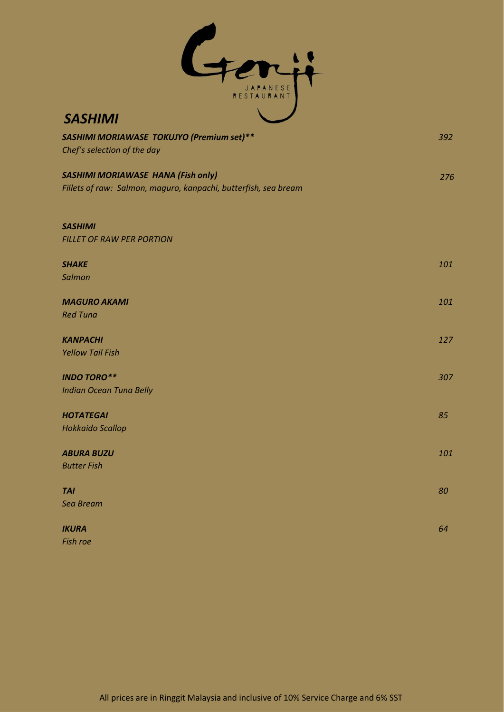| NESE<br>TAURANT                                                                                       |     |
|-------------------------------------------------------------------------------------------------------|-----|
| <b>SASHIMI</b>                                                                                        |     |
| SASHIMI MORIAWASE TOKUJYO (Premium set)**<br>Chef's selection of the day                              | 392 |
| SASHIMI MORIAWASE HANA (Fish only)<br>Fillets of raw: Salmon, maguro, kanpachi, butterfish, sea bream | 276 |
|                                                                                                       |     |
| <b>SASHIMI</b><br><b>FILLET OF RAW PER PORTION</b>                                                    |     |
| <b>SHAKE</b><br>Salmon                                                                                | 101 |
|                                                                                                       |     |
| <b>MAGURO AKAMI</b><br><b>Red Tuna</b>                                                                | 101 |
| <b>KANPACHI</b>                                                                                       | 127 |
| <b>Yellow Tail Fish</b>                                                                               |     |
| <b>INDO TORO**</b><br><b>Indian Ocean Tuna Belly</b>                                                  | 307 |
| <b>HOTATEGAI</b>                                                                                      | 85  |
| <b>Hokkaido Scallop</b>                                                                               |     |
| <b>ABURA BUZU</b>                                                                                     | 101 |
| <b>Butter Fish</b>                                                                                    |     |
| <b>TAI</b>                                                                                            | 80  |
| Sea Bream                                                                                             |     |
| <b>IKURA</b>                                                                                          | 64  |

*Fish roe*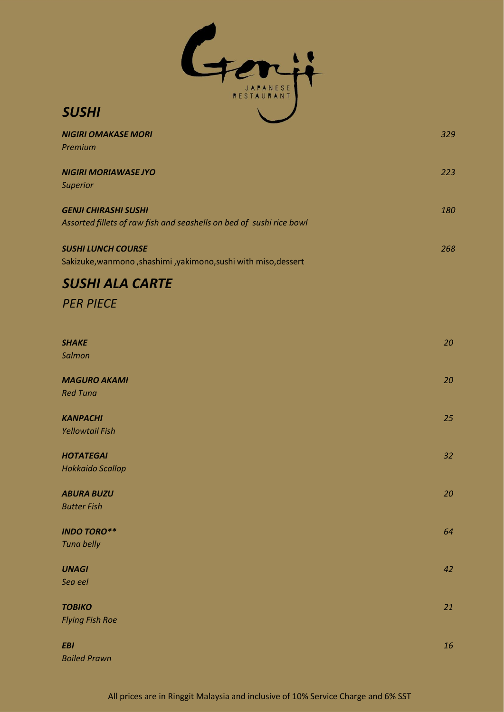

#### *SUSHI*

*Boiled Prawn*

| <b>NIGIRI OMAKASE MORI</b>                                           | 329 |
|----------------------------------------------------------------------|-----|
| Premium                                                              |     |
| <b>NIGIRI MORIAWASE JYO</b>                                          | 223 |
| <b>Superior</b>                                                      |     |
| <b>GENJI CHIRASHI SUSHI</b>                                          | 180 |
| Assorted fillets of raw fish and seashells on bed of sushi rice bowl |     |
| <b>SUSHI LUNCH COURSE</b>                                            | 268 |
| Sakizuke, wanmono, shashimi, yakimono, sushi with miso, dessert      |     |
| <b>SUSHI ALA CARTE</b>                                               |     |
| <b>PER PIECE</b>                                                     |     |
|                                                                      |     |
| <b>SHAKE</b>                                                         | 20  |
| Salmon                                                               |     |
| <b>MAGURO AKAMI</b>                                                  | 20  |
| <b>Red Tuna</b>                                                      |     |
| <b>KANPACHI</b>                                                      | 25  |
| <b>Yellowtail Fish</b>                                               |     |
| <b>HOTATEGAI</b>                                                     | 32  |
| <b>Hokkaido Scallop</b>                                              |     |
| <b>ABURA BUZU</b>                                                    | 20  |
| <b>Butter Fish</b>                                                   |     |
| <b>INDO TORO**</b>                                                   | 64  |
| Tuna belly                                                           |     |
| <b>UNAGI</b>                                                         | 42  |
| Sea eel                                                              |     |

*TOBIKO Flying Fish Roe 21 EBI 16*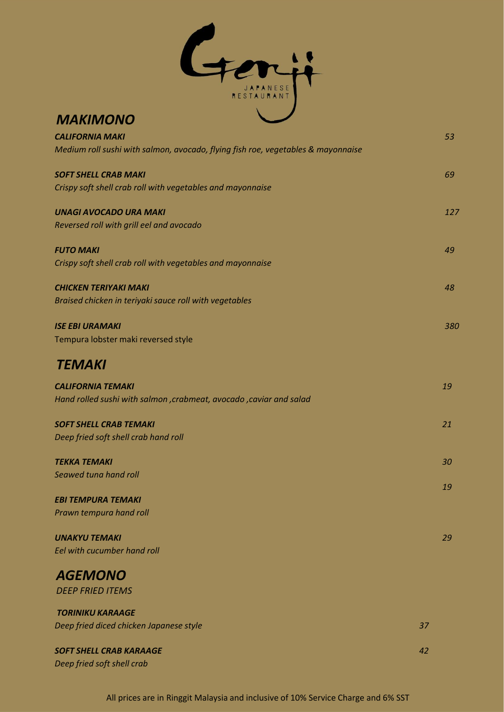

| <b>CALIFORNIA MAKI</b>                                                           |    | 53         |
|----------------------------------------------------------------------------------|----|------------|
| Medium roll sushi with salmon, avocado, flying fish roe, vegetables & mayonnaise |    |            |
|                                                                                  |    |            |
| <b>SOFT SHELL CRAB MAKI</b>                                                      |    | 69         |
| Crispy soft shell crab roll with vegetables and mayonnaise                       |    |            |
| <b>UNAGI AVOCADO URA MAKI</b>                                                    |    | 127        |
| Reversed roll with grill eel and avocado                                         |    |            |
|                                                                                  |    |            |
| <b>FUTO MAKI</b>                                                                 |    | 49         |
| Crispy soft shell crab roll with vegetables and mayonnaise                       |    |            |
|                                                                                  |    |            |
| <b>CHICKEN TERIYAKI MAKI</b>                                                     |    | 48         |
| Braised chicken in teriyaki sauce roll with vegetables                           |    |            |
| <b>ISE EBI URAMAKI</b>                                                           |    |            |
|                                                                                  |    | <b>380</b> |
| Tempura lobster maki reversed style                                              |    |            |
| TEMAKI                                                                           |    |            |
| <b>CALIFORNIA TEMAKI</b>                                                         |    | 19         |
| Hand rolled sushi with salmon, crabmeat, avocado, caviar and salad               |    |            |
|                                                                                  |    |            |
| <b>SOFT SHELL CRAB TEMAKI</b>                                                    |    | 21         |
| Deep fried soft shell crab hand roll                                             |    |            |
| <b>TEKKA TEMAKI</b>                                                              |    | 30         |
| Seawed tuna hand roll                                                            |    |            |
|                                                                                  |    | 19         |
| <b>EBI TEMPURA TEMAKI</b>                                                        |    |            |
| Prawn tempura hand roll                                                          |    |            |
|                                                                                  |    |            |
| <b>UNAKYU TEMAKI</b>                                                             |    | 29         |
| Eel with cucumber hand roll                                                      |    |            |
| <b>AGEMONO</b>                                                                   |    |            |
|                                                                                  |    |            |
| <b>DEEP FRIED ITEMS</b>                                                          |    |            |
| <b>TORINIKU KARAAGE</b>                                                          |    |            |
| Deep fried diced chicken Japanese style                                          | 37 |            |
|                                                                                  |    |            |

*SOFT SHELL CRAB KARAAGE Deep fried soft shell crab*

*MAKIMONO*

All prices are in Ringgit Malaysia and inclusive of 10% Service Charge and 6% SST

*42*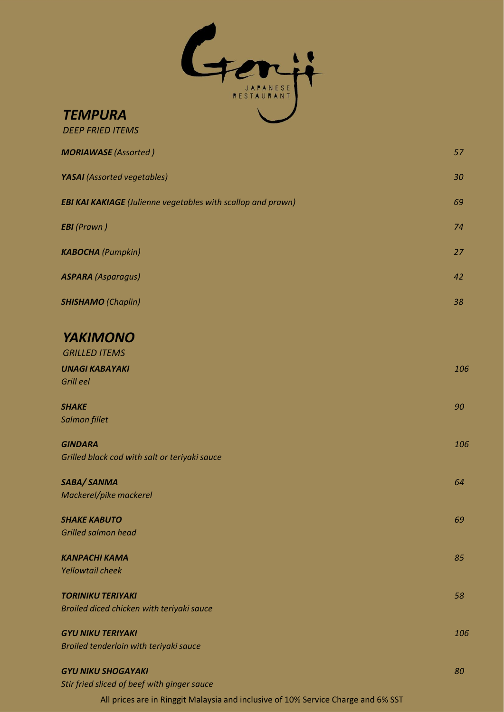

*TEMPURA*

| I LIVIF UNA<br><b>DEEP FRIED ITEMS</b>                              |     |  |
|---------------------------------------------------------------------|-----|--|
| <b>MORIAWASE</b> (Assorted)                                         | 57  |  |
| <b>YASAI</b> (Assorted vegetables)                                  | 30  |  |
|                                                                     |     |  |
| <b>EBI KAI KAKIAGE</b> (Julienne vegetables with scallop and prawn) | 69  |  |
| <b>EBI</b> (Prawn)                                                  | 74  |  |
| <b>KABOCHA</b> (Pumpkin)                                            | 27  |  |
| <b>ASPARA</b> (Asparagus)                                           | 42  |  |
| <b>SHISHAMO</b> (Chaplin)                                           | 38  |  |
| <b>YAKIMONO</b>                                                     |     |  |
| <b>GRILLED ITEMS</b>                                                |     |  |
| <b>UNAGI KABAYAKI</b>                                               | 106 |  |
| Grill eel                                                           |     |  |
| <b>SHAKE</b>                                                        | 90  |  |
| Salmon fillet                                                       |     |  |
| <b>GINDARA</b>                                                      | 106 |  |
| Grilled black cod with salt or teriyaki sauce                       |     |  |
| SABA/SANMA                                                          | 64  |  |
| Mackerel/pike mackerel                                              |     |  |
| <b>SHAKE KABUTO</b>                                                 | 69  |  |
| <b>Grilled salmon head</b>                                          |     |  |
| <b>KANPACHI KAMA</b>                                                | 85  |  |
| <b>Yellowtail cheek</b>                                             |     |  |
| <b>TORINIKU TERIYAKI</b>                                            | 58  |  |
| Broiled diced chicken with teriyaki sauce                           |     |  |
| <b>GYU NIKU TERIYAKI</b>                                            | 106 |  |
| Broiled tenderloin with teriyaki sauce                              |     |  |
| <b>GYU NIKU SHOGAYAKI</b>                                           | 80  |  |
| Stir fried sliced of beef with ginger sauce                         |     |  |

All prices are in Ringgit Malaysia and inclusive of 10% Service Charge and 6% SST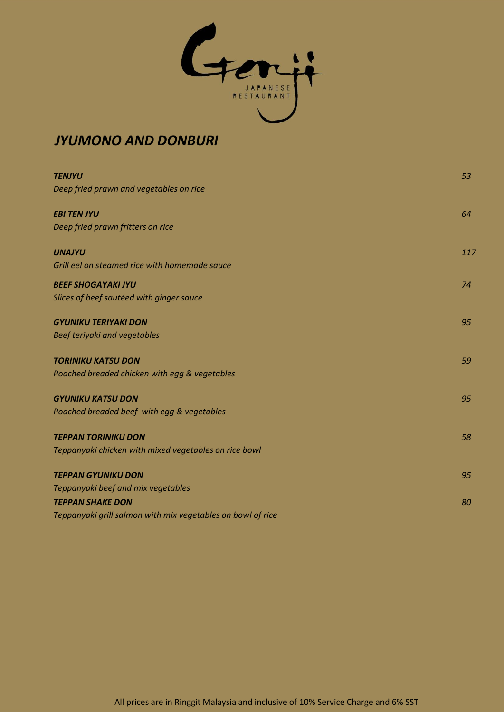

#### *JYUMONO AND DONBURI*

| <b>TENJYU</b>                                               | 53  |
|-------------------------------------------------------------|-----|
| Deep fried prawn and vegetables on rice                     |     |
| <b>EBI TEN JYU</b>                                          | 64  |
| Deep fried prawn fritters on rice                           |     |
| <b>UNAJYU</b>                                               | 117 |
| Grill eel on steamed rice with homemade sauce               |     |
| <b>BEEF SHOGAYAKI JYU</b>                                   | 74  |
| Slices of beef sautéed with ginger sauce                    |     |
| <b>GYUNIKU TERIYAKI DON</b>                                 | 95  |
| Beef teriyaki and vegetables                                |     |
| <b>TORINIKU KATSU DON</b>                                   | 59  |
| Poached breaded chicken with egg & vegetables               |     |
| <b>GYUNIKU KATSU DON</b>                                    | 95  |
| Poached breaded beef with egg & vegetables                  |     |
| <b>TEPPAN TORINIKU DON</b>                                  | 58  |
| Teppanyaki chicken with mixed vegetables on rice bowl       |     |
| <b>TEPPAN GYUNIKU DON</b>                                   | 95  |
| Teppanyaki beef and mix vegetables                          |     |
| <b>TEPPAN SHAKE DON</b>                                     | 80  |
| Teppanyaki grill salmon with mix vegetables on bowl of rice |     |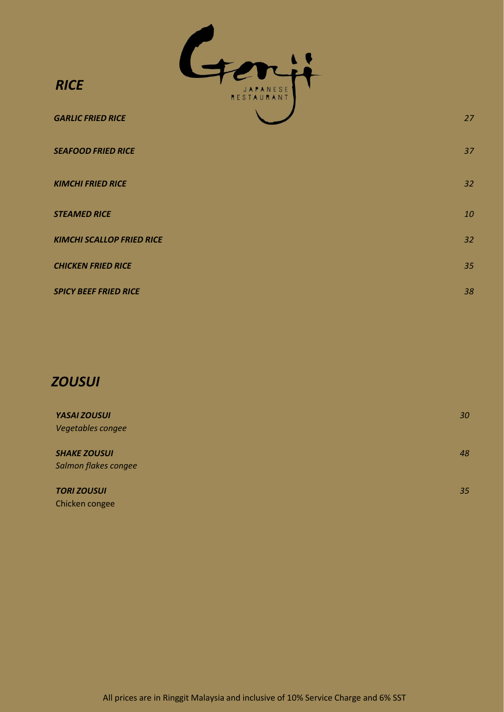

| <b>SEAFOOD FRIED RICE</b>        | 37 |
|----------------------------------|----|
| <b>KIMCHI FRIED RICE</b>         | 32 |
| <b>STEAMED RICE</b>              | 10 |
| <b>KIMCHI SCALLOP FRIED RICE</b> | 32 |
| <b>CHICKEN FRIED RICE</b>        | 35 |
| <b>SPICY BEEF FRIED RICE</b>     | 38 |

### *ZOUSUI*

Chicken congee

| <b>YASAI ZOUSUI</b><br>Vegetables congee    | 30 |
|---------------------------------------------|----|
| <b>SHAKE ZOUSUI</b><br>Salmon flakes congee | 48 |
| <b>TORI ZOUSUI</b>                          | 35 |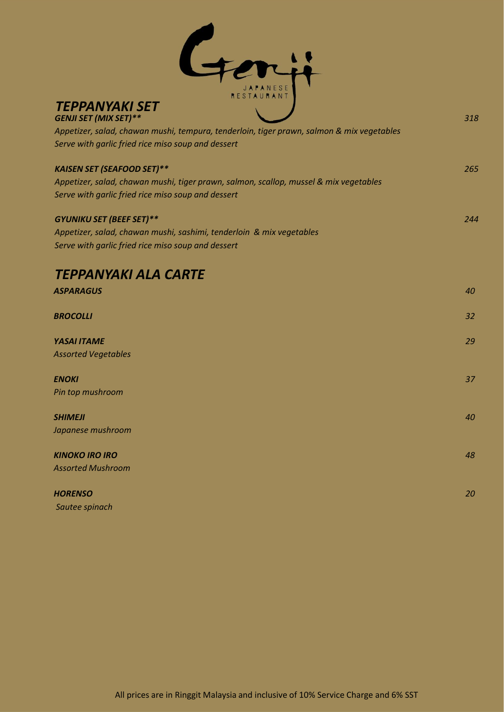

| Japanese mushroom |  |
|-------------------|--|
|                   |  |

*KINOKO IRO IRO Assorted Mushroom*

*HORENSO Sautee spinach*  *20*

*48*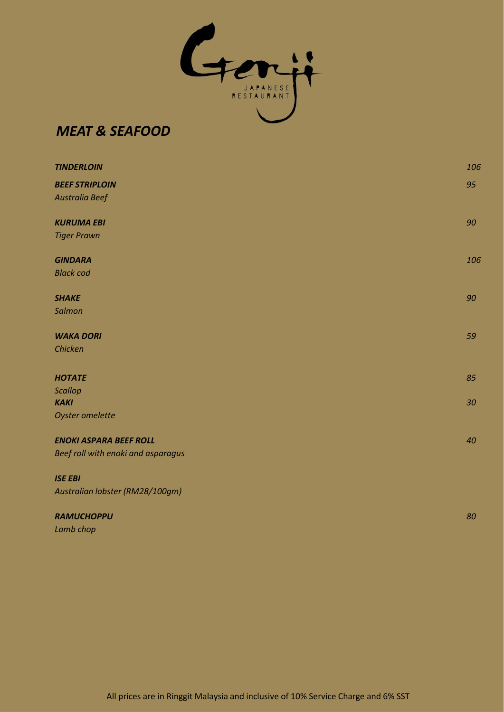

# *MEAT & SEAFOOD*

| <b>TINDERLOIN</b>                  | 106 |
|------------------------------------|-----|
| <b>BEEF STRIPLOIN</b>              | 95  |
| Australia Beef                     |     |
| <b>KURUMA EBI</b>                  | 90  |
| <b>Tiger Prawn</b>                 |     |
| <b>GINDARA</b>                     | 106 |
| <b>Black cod</b>                   |     |
| <b>SHAKE</b>                       | 90  |
| Salmon                             |     |
| <b>WAKA DORI</b>                   | 59  |
| Chicken                            |     |
| <b>HOTATE</b>                      | 85  |
| <b>Scallop</b>                     |     |
| <b>KAKI</b>                        | 30  |
| Oyster omelette                    |     |
| <b>ENOKI ASPARA BEEF ROLL</b>      | 40  |
| Beef roll with enoki and asparagus |     |
| $CFT$ $FDI$                        |     |

*ISE EBI Australian lobster (RM28/100gm)*

#### *RAMUCHOPPU*

*Lamb chop*

*80*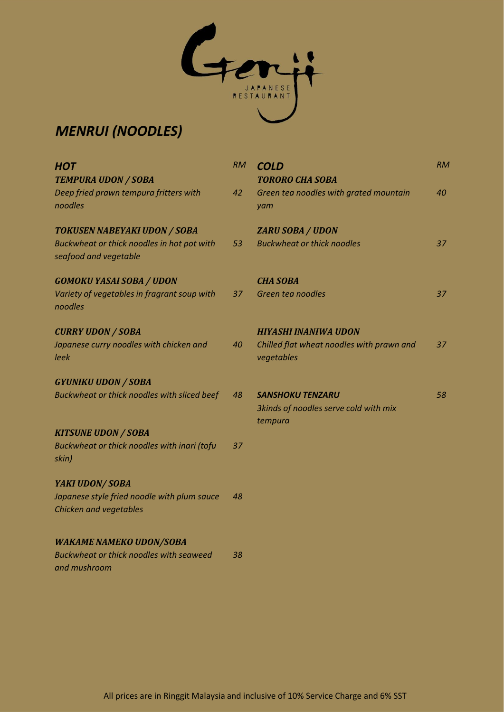

# *MENRUI (NOODLES)*

| <b>HOT</b><br><b>TEMPURA UDON / SOBA</b><br>Deep fried prawn tempura fritters with<br>noodles              | RM<br>42 | <b>COLD</b><br><b>TORORO CHA SOBA</b><br>Green tea noodles with grated mountain<br>yam | <b>RM</b><br>40 |
|------------------------------------------------------------------------------------------------------------|----------|----------------------------------------------------------------------------------------|-----------------|
| <b>TOKUSEN NABEYAKI UDON / SOBA</b><br>Buckwheat or thick noodles in hot pot with<br>seafood and vegetable | 53       | <b>ZARU SOBA / UDON</b><br><b>Buckwheat or thick noodles</b>                           | 37              |
| <b>GOMOKU YASAI SOBA / UDON</b><br>Variety of vegetables in fragrant soup with<br>noodles                  | 37       | <b>CHA SOBA</b><br>Green tea noodles                                                   | 37              |
| <b>CURRY UDON / SOBA</b><br>Japanese curry noodles with chicken and<br>leek                                | 40       | <b>HIYASHI INANIWA UDON</b><br>Chilled flat wheat noodles with prawn and<br>vegetables | 37              |
| <b>GYUNIKU UDON / SOBA</b><br>Buckwheat or thick noodles with sliced beef                                  | 48       | <b>SANSHOKU TENZARU</b><br>3kinds of noodles serve cold with mix<br>tempura            | 58              |
| <b>KITSUNE UDON / SOBA</b><br>Buckwheat or thick noodles with inari (tofu<br>skin)                         | 37       |                                                                                        |                 |
| YAKI UDON/SOBA<br>Japanese style fried noodle with plum sauce<br>Chicken and vegetables                    | 48       |                                                                                        |                 |
| <b>WAKAME NAMEKO UDON/SOBA</b><br><b>Buckwheat or thick noodles with seaweed</b><br>and mushroom           | 38       |                                                                                        |                 |